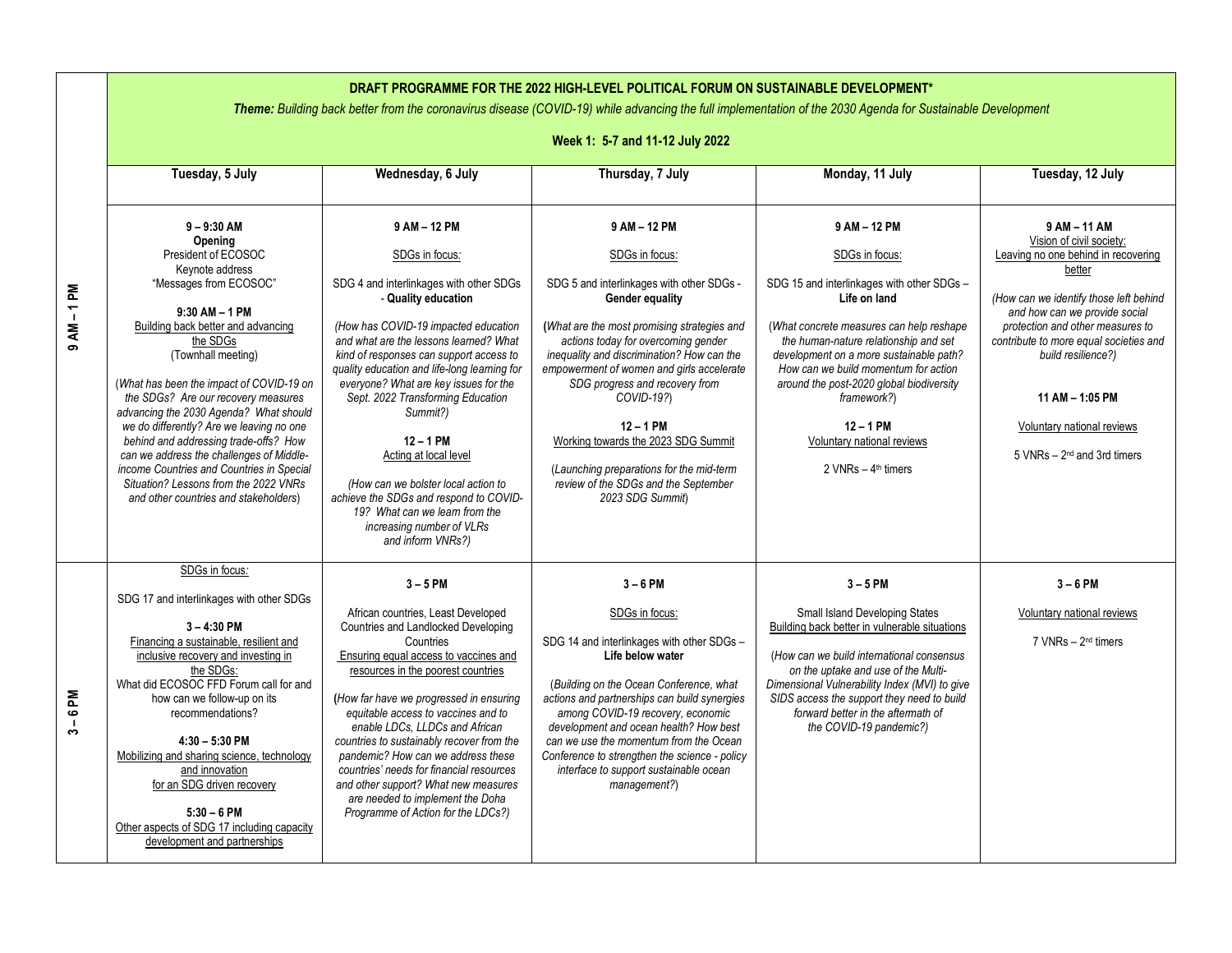| DRAFT PROGRAMME FOR THE 2022 HIGH-LEVEL POLITICAL FORUM ON SUSTAINABLE DEVELOPMENT*<br>Theme: Building back better from the coronavirus disease (COVID-19) while advancing the full implementation of the 2030 Agenda for Sustainable Development |                                                                                                                                                                                                                                                                                                                                                                                                                                                                                                                                                                                         |                                                                                                                                                                                                                                                                                                                                                                                                                                                                                                                                                                                      |                                                                                                                                                                                                                                                                                                                                                                                                                                                                                               |                                                                                                                                                                                                                                                                                                                                                                                                     |                                                                                                                                                                                                                                                                                                                                                                          |  |  |
|---------------------------------------------------------------------------------------------------------------------------------------------------------------------------------------------------------------------------------------------------|-----------------------------------------------------------------------------------------------------------------------------------------------------------------------------------------------------------------------------------------------------------------------------------------------------------------------------------------------------------------------------------------------------------------------------------------------------------------------------------------------------------------------------------------------------------------------------------------|--------------------------------------------------------------------------------------------------------------------------------------------------------------------------------------------------------------------------------------------------------------------------------------------------------------------------------------------------------------------------------------------------------------------------------------------------------------------------------------------------------------------------------------------------------------------------------------|-----------------------------------------------------------------------------------------------------------------------------------------------------------------------------------------------------------------------------------------------------------------------------------------------------------------------------------------------------------------------------------------------------------------------------------------------------------------------------------------------|-----------------------------------------------------------------------------------------------------------------------------------------------------------------------------------------------------------------------------------------------------------------------------------------------------------------------------------------------------------------------------------------------------|--------------------------------------------------------------------------------------------------------------------------------------------------------------------------------------------------------------------------------------------------------------------------------------------------------------------------------------------------------------------------|--|--|
|                                                                                                                                                                                                                                                   | Week 1: 5-7 and 11-12 July 2022                                                                                                                                                                                                                                                                                                                                                                                                                                                                                                                                                         |                                                                                                                                                                                                                                                                                                                                                                                                                                                                                                                                                                                      |                                                                                                                                                                                                                                                                                                                                                                                                                                                                                               |                                                                                                                                                                                                                                                                                                                                                                                                     |                                                                                                                                                                                                                                                                                                                                                                          |  |  |
|                                                                                                                                                                                                                                                   | Tuesday, 5 July                                                                                                                                                                                                                                                                                                                                                                                                                                                                                                                                                                         | Wednesday, 6 July                                                                                                                                                                                                                                                                                                                                                                                                                                                                                                                                                                    | Thursday, 7 July                                                                                                                                                                                                                                                                                                                                                                                                                                                                              | Monday, 11 July                                                                                                                                                                                                                                                                                                                                                                                     | Tuesday, 12 July                                                                                                                                                                                                                                                                                                                                                         |  |  |
| $9AM - 1PM$                                                                                                                                                                                                                                       | $9 - 9:30$ AM<br>Opening<br>President of ECOSOC<br>Kevnote address<br>"Messages from ECOSOC"<br>$9:30$ AM $-$ 1 PM<br>Building back better and advancing<br>the SDGs<br>(Townhall meeting)<br>(What has been the impact of COVID-19 on<br>the SDGs? Are our recovery measures<br>advancing the 2030 Agenda? What should<br>we do differently? Are we leaving no one<br>behind and addressing trade-offs? How<br>can we address the challenges of Middle-<br>income Countries and Countries in Special<br>Situation? Lessons from the 2022 VNRs<br>and other countries and stakeholders) | 9 AM - 12 PM<br>SDGs in focus:<br>SDG 4 and interlinkages with other SDGs<br>- Quality education<br>(How has COVID-19 impacted education<br>and what are the lessons learned? What<br>kind of responses can support access to<br>quality education and life-long learning for<br>everyone? What are key issues for the<br>Sept. 2022 Transforming Education<br>Summit?)<br>$12 - 1$ PM<br>Acting at local level<br>(How can we bolster local action to<br>achieve the SDGs and respond to COVID-<br>19? What can we learn from the<br>increasing number of VLRs<br>and inform VNRs?) | 9 AM - 12 PM<br>SDGs in focus:<br>SDG 5 and interlinkages with other SDGs -<br>Gender equality<br>(What are the most promising strategies and<br>actions today for overcoming gender<br>inequality and discrimination? How can the<br>empowerment of women and girls accelerate<br>SDG progress and recovery from<br>COVID-19?)<br>$12 - 1$ PM<br>Working towards the 2023 SDG Summit<br>(Launching preparations for the mid-term<br>review of the SDGs and the September<br>2023 SDG Summit) | 9 AM - 12 PM<br>SDGs in focus:<br>SDG 15 and interlinkages with other SDGs -<br>Life on land<br>(What concrete measures can help reshape<br>the human-nature relationship and set<br>development on a more sustainable path?<br>How can we build momentum for action<br>around the post-2020 global biodiversity<br>framework?)<br>$12 - 1$ PM<br>Voluntary national reviews<br>2 VNRs - 4th timers | 9 AM - 11 AM<br>Vision of civil society:<br>Leaving no one behind in recovering<br>better<br>(How can we identify those left behind<br>and how can we provide social<br>protection and other measures to<br>contribute to more equal societies and<br>build resilience?)<br>11 AM - 1:05 PM<br>Voluntary national reviews<br>$5$ VNRs $-$ 2 <sup>nd</sup> and 3rd timers |  |  |
| $3 - 6$ PM                                                                                                                                                                                                                                        | SDGs in focus:<br>SDG 17 and interlinkages with other SDGs<br>$3 - 4:30$ PM<br>Financing a sustainable, resilient and<br>inclusive recovery and investing in<br>the SDGs:<br>What did ECOSOC FFD Forum call for and<br>how can we follow-up on its<br>recommendations?<br>$4:30 - 5:30$ PM<br>Mobilizing and sharing science, technology<br>and innovation<br>for an SDG driven recovery<br>$5:30 - 6$ PM<br>Other aspects of SDG 17 including capacity<br>development and partnerships                                                                                                 | $3 - 5$ PM<br>African countries, Least Developed<br>Countries and Landlocked Developing<br>Countries<br>Ensuring equal access to vaccines and<br>resources in the poorest countries<br>(How far have we progressed in ensuring<br>equitable access to vaccines and to<br>enable LDCs, LLDCs and African<br>countries to sustainably recover from the<br>pandemic? How can we address these<br>countries' needs for financial resources<br>and other support? What new measures<br>are needed to implement the Doha<br>Programme of Action for the LDCs?)                             | $3 - 6$ PM<br>SDGs in focus:<br>SDG 14 and interlinkages with other SDGs -<br>Life below water<br>(Building on the Ocean Conference, what<br>actions and partnerships can build synergies<br>among COVID-19 recovery, economic<br>development and ocean health? How best<br>can we use the momentum from the Ocean<br>Conference to strengthen the science - policy<br>interface to support sustainable ocean<br>management?)                                                                 | $3 - 5$ PM<br>Small Island Developing States<br>Building back better in vulnerable situations<br>(How can we build international consensus<br>on the uptake and use of the Multi-<br>Dimensional Vulnerability Index (MVI) to give<br>SIDS access the support they need to build<br>forward better in the aftermath of<br>the COVID-19 pandemic?)                                                   | $3 - 6$ PM<br>Voluntary national reviews<br>7 VNRs - 2 <sup>nd</sup> timers                                                                                                                                                                                                                                                                                              |  |  |